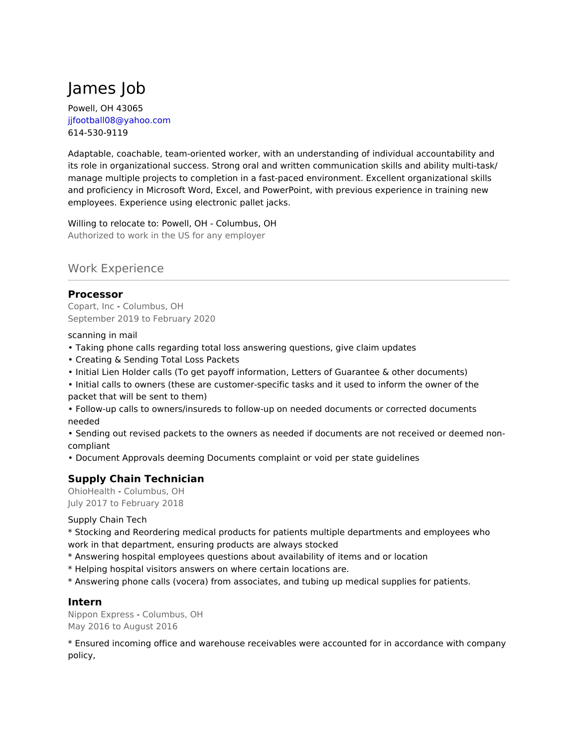# James Job

Powell, OH 43065 jjfootball08@yahoo.com 614-530-9119

Adaptable, coachable, team-oriented worker, with an understanding of individual accountability and its role in organizational success. Strong oral and written communication skills and ability multi-task/ manage multiple projects to completion in a fast-paced environment. Excellent organizational skills and proficiency in Microsoft Word, Excel, and PowerPoint, with previous experience in training new employees. Experience using electronic pallet jacks.

Willing to relocate to: Powell, OH - Columbus, OH Authorized to work in the US for any employer

## Work Experience

## **Processor**

Copart, Inc - Columbus, OH September 2019 to February 2020

scanning in mail

- Taking phone calls regarding total loss answering questions, give claim updates
- Creating & Sending Total Loss Packets
- Initial Lien Holder calls (To get payoff information, Letters of Guarantee & other documents)
- Initial calls to owners (these are customer-specific tasks and it used to inform the owner of the packet that will be sent to them)
- Follow-up calls to owners/insureds to follow-up on needed documents or corrected documents needed

• Sending out revised packets to the owners as needed if documents are not received or deemed noncompliant

• Document Approvals deeming Documents complaint or void per state guidelines

# **Supply Chain Technician**

OhioHealth - Columbus, OH July 2017 to February 2018

Supply Chain Tech

\* Stocking and Reordering medical products for patients multiple departments and employees who work in that department, ensuring products are always stocked

- \* Answering hospital employees questions about availability of items and or location
- \* Helping hospital visitors answers on where certain locations are.
- \* Answering phone calls (vocera) from associates, and tubing up medical supplies for patients.

## **Intern**

Nippon Express - Columbus, OH May 2016 to August 2016

\* Ensured incoming office and warehouse receivables were accounted for in accordance with company policy,